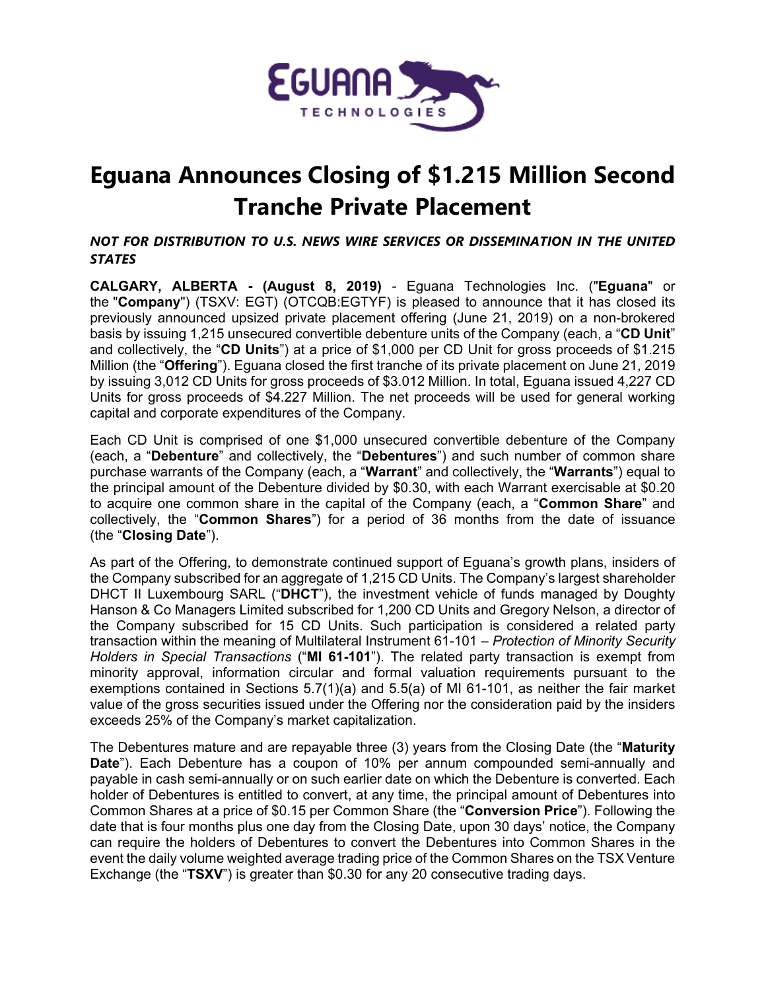

## **Eguana Announces Closing of \$1.215 Million Second Tranche Private Placement**

*NOT FOR DISTRIBUTION TO U.S. NEWS WIRE SERVICES OR DISSEMINATION IN THE UNITED STATES*

**CALGARY, ALBERTA - (August 8, 2019)** - Eguana Technologies Inc. ("**Eguana**" or the "**Company**") (TSXV: EGT) (OTCQB:EGTYF) is pleased to announce that it has closed its previously announced upsized private placement offering (June 21, 2019) on a non-brokered basis by issuing 1,215 unsecured convertible debenture units of the Company (each, a "**CD Unit**" and collectively, the "**CD Units**") at a price of \$1,000 per CD Unit for gross proceeds of \$1.215 Million (the "**Offering**"). Eguana closed the first tranche of its private placement on June 21, 2019 by issuing 3,012 CD Units for gross proceeds of \$3.012 Million. In total, Eguana issued 4,227 CD Units for gross proceeds of \$4.227 Million. The net proceeds will be used for general working capital and corporate expenditures of the Company.

Each CD Unit is comprised of one \$1,000 unsecured convertible debenture of the Company (each, a "**Debenture**" and collectively, the "**Debentures**") and such number of common share purchase warrants of the Company (each, a "**Warrant**" and collectively, the "**Warrants**") equal to the principal amount of the Debenture divided by \$0.30, with each Warrant exercisable at \$0.20 to acquire one common share in the capital of the Company (each, a "**Common Share**" and collectively, the "**Common Shares**") for a period of 36 months from the date of issuance (the "**Closing Date**").

As part of the Offering, to demonstrate continued support of Eguana's growth plans, insiders of the Company subscribed for an aggregate of 1,215 CD Units. The Company's largest shareholder DHCT II Luxembourg SARL ("**DHCT**"), the investment vehicle of funds managed by Doughty Hanson & Co Managers Limited subscribed for 1,200 CD Units and Gregory Nelson, a director of the Company subscribed for 15 CD Units. Such participation is considered a related party transaction within the meaning of Multilateral Instrument 61-101 – *Protection of Minority Security Holders in Special Transactions* ("**MI 61-101**"). The related party transaction is exempt from minority approval, information circular and formal valuation requirements pursuant to the exemptions contained in Sections 5.7(1)(a) and 5.5(a) of MI 61-101, as neither the fair market value of the gross securities issued under the Offering nor the consideration paid by the insiders exceeds 25% of the Company's market capitalization.

The Debentures mature and are repayable three (3) years from the Closing Date (the "**Maturity Date**"). Each Debenture has a coupon of 10% per annum compounded semi-annually and payable in cash semi-annually or on such earlier date on which the Debenture is converted. Each holder of Debentures is entitled to convert, at any time, the principal amount of Debentures into Common Shares at a price of \$0.15 per Common Share (the "**Conversion Price**"). Following the date that is four months plus one day from the Closing Date, upon 30 days' notice, the Company can require the holders of Debentures to convert the Debentures into Common Shares in the event the daily volume weighted average trading price of the Common Shares on the TSX Venture Exchange (the "**TSXV**") is greater than \$0.30 for any 20 consecutive trading days.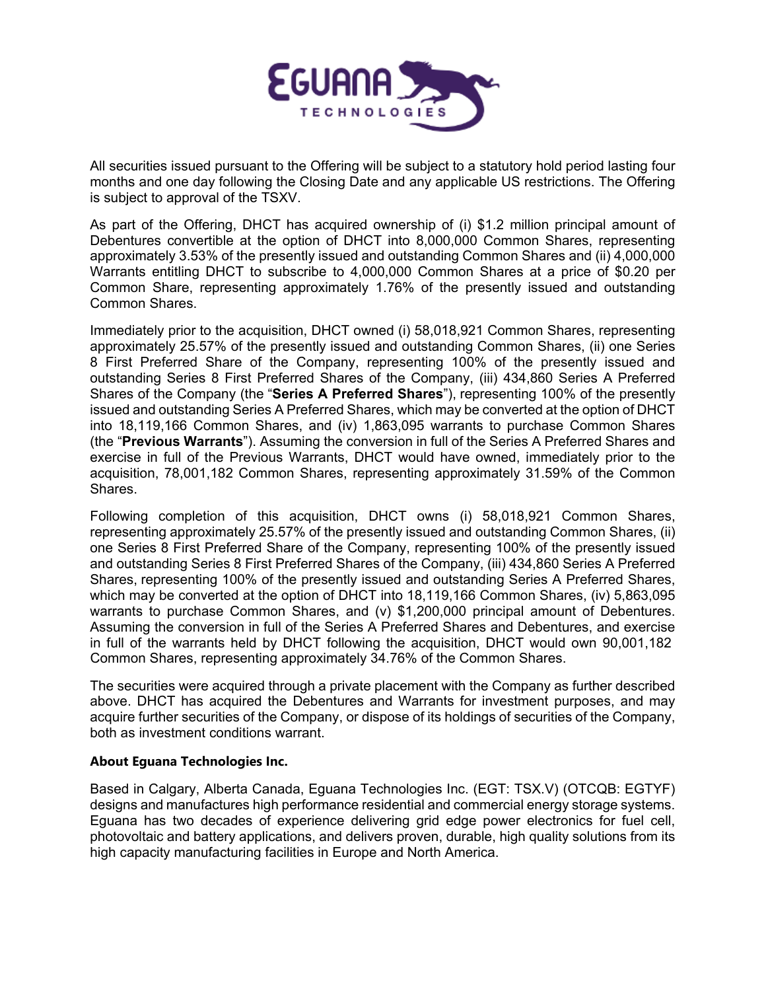

All securities issued pursuant to the Offering will be subject to a statutory hold period lasting four months and one day following the Closing Date and any applicable US restrictions. The Offering is subject to approval of the TSXV.

As part of the Offering, DHCT has acquired ownership of (i) \$1.2 million principal amount of Debentures convertible at the option of DHCT into 8,000,000 Common Shares, representing approximately 3.53% of the presently issued and outstanding Common Shares and (ii) 4,000,000 Warrants entitling DHCT to subscribe to 4,000,000 Common Shares at a price of \$0.20 per Common Share, representing approximately 1.76% of the presently issued and outstanding Common Shares.

Immediately prior to the acquisition, DHCT owned (i) 58,018,921 Common Shares, representing approximately 25.57% of the presently issued and outstanding Common Shares, (ii) one Series 8 First Preferred Share of the Company, representing 100% of the presently issued and outstanding Series 8 First Preferred Shares of the Company, (iii) 434,860 Series A Preferred Shares of the Company (the "**Series A Preferred Shares**"), representing 100% of the presently issued and outstanding Series A Preferred Shares, which may be converted at the option of DHCT into 18,119,166 Common Shares, and (iv) 1,863,095 warrants to purchase Common Shares (the "**Previous Warrants**"). Assuming the conversion in full of the Series A Preferred Shares and exercise in full of the Previous Warrants, DHCT would have owned, immediately prior to the acquisition, 78,001,182 Common Shares, representing approximately 31.59% of the Common Shares.

Following completion of this acquisition, DHCT owns (i) 58,018,921 Common Shares, representing approximately 25.57% of the presently issued and outstanding Common Shares, (ii) one Series 8 First Preferred Share of the Company, representing 100% of the presently issued and outstanding Series 8 First Preferred Shares of the Company, (iii) 434,860 Series A Preferred Shares, representing 100% of the presently issued and outstanding Series A Preferred Shares, which may be converted at the option of DHCT into 18,119,166 Common Shares, (iv) 5,863,095 warrants to purchase Common Shares, and (v) \$1,200,000 principal amount of Debentures. Assuming the conversion in full of the Series A Preferred Shares and Debentures, and exercise in full of the warrants held by DHCT following the acquisition, DHCT would own 90,001,182 Common Shares, representing approximately 34.76% of the Common Shares.

The securities were acquired through a private placement with the Company as further described above. DHCT has acquired the Debentures and Warrants for investment purposes, and may acquire further securities of the Company, or dispose of its holdings of securities of the Company, both as investment conditions warrant.

## **About Eguana Technologies Inc.**

Based in Calgary, Alberta Canada, Eguana Technologies Inc. (EGT: TSX.V) (OTCQB: EGTYF) designs and manufactures high performance residential and commercial energy storage systems. Eguana has two decades of experience delivering grid edge power electronics for fuel cell, photovoltaic and battery applications, and delivers proven, durable, high quality solutions from its high capacity manufacturing facilities in Europe and North America.